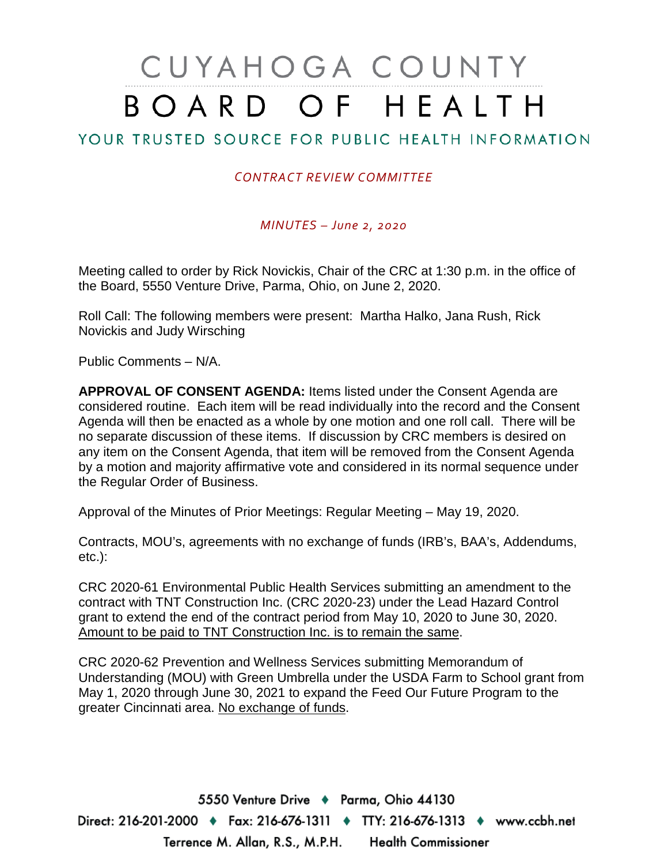## CUYAHOGA COUNTY BOARD OF HEALTH

## YOUR TRUSTED SOURCE FOR PUBLIC HEALTH INFORMATION

## *CONTRACT REVIEW COMMITTEE*

*MINUTES – June 2, 2020*

Meeting called to order by Rick Novickis, Chair of the CRC at 1:30 p.m. in the office of the Board, 5550 Venture Drive, Parma, Ohio, on June 2, 2020.

Roll Call: The following members were present: Martha Halko, Jana Rush, Rick Novickis and Judy Wirsching

Public Comments – N/A.

**APPROVAL OF CONSENT AGENDA:** Items listed under the Consent Agenda are considered routine. Each item will be read individually into the record and the Consent Agenda will then be enacted as a whole by one motion and one roll call. There will be no separate discussion of these items. If discussion by CRC members is desired on any item on the Consent Agenda, that item will be removed from the Consent Agenda by a motion and majority affirmative vote and considered in its normal sequence under the Regular Order of Business.

Approval of the Minutes of Prior Meetings: Regular Meeting – May 19, 2020.

Contracts, MOU's, agreements with no exchange of funds (IRB's, BAA's, Addendums, etc.):

CRC 2020-61 Environmental Public Health Services submitting an amendment to the contract with TNT Construction Inc. (CRC 2020-23) under the Lead Hazard Control grant to extend the end of the contract period from May 10, 2020 to June 30, 2020. Amount to be paid to TNT Construction Inc. is to remain the same.

CRC 2020-62 Prevention and Wellness Services submitting Memorandum of Understanding (MOU) with Green Umbrella under the USDA Farm to School grant from May 1, 2020 through June 30, 2021 to expand the Feed Our Future Program to the greater Cincinnati area. No exchange of funds.

5550 Venture Drive + Parma, Ohio 44130 Direct: 216-201-2000 ♦ Fax: 216-676-1311 ♦ TTY: 216-676-1313 ♦ www.ccbh.net Terrence M. Allan, R.S., M.P.H. Health Commissioner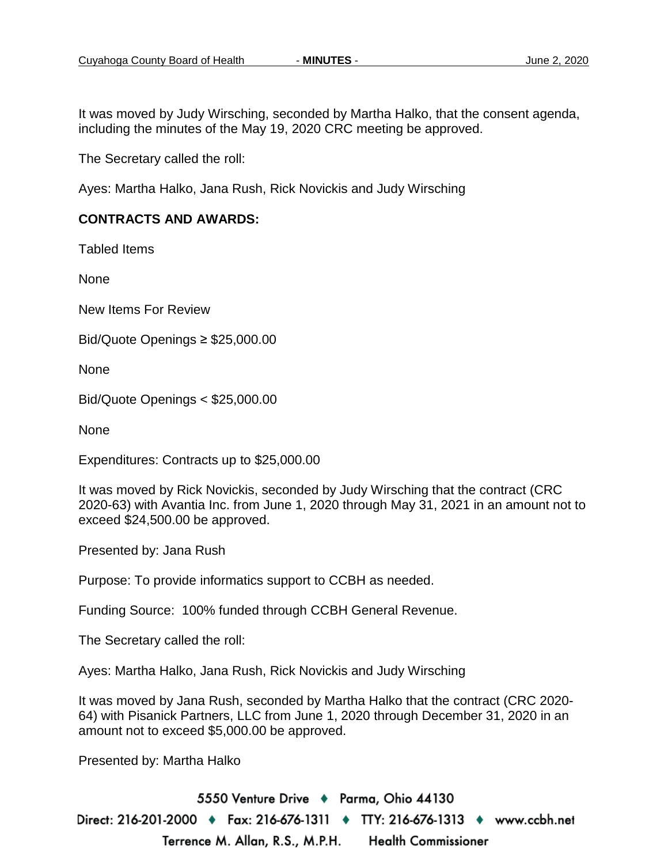It was moved by Judy Wirsching, seconded by Martha Halko, that the consent agenda, including the minutes of the May 19, 2020 CRC meeting be approved.

The Secretary called the roll:

Ayes: Martha Halko, Jana Rush, Rick Novickis and Judy Wirsching

## **CONTRACTS AND AWARDS:**

Tabled Items

None

New Items For Review

Bid/Quote Openings ≥ \$25,000.00

**None** 

Bid/Quote Openings < \$25,000.00

None

Expenditures: Contracts up to \$25,000.00

It was moved by Rick Novickis, seconded by Judy Wirsching that the contract (CRC 2020-63) with Avantia Inc. from June 1, 2020 through May 31, 2021 in an amount not to exceed \$24,500.00 be approved.

Presented by: Jana Rush

Purpose: To provide informatics support to CCBH as needed.

Funding Source: 100% funded through CCBH General Revenue.

The Secretary called the roll:

Ayes: Martha Halko, Jana Rush, Rick Novickis and Judy Wirsching

It was moved by Jana Rush, seconded by Martha Halko that the contract (CRC 2020- 64) with Pisanick Partners, LLC from June 1, 2020 through December 31, 2020 in an amount not to exceed \$5,000.00 be approved.

Presented by: Martha Halko

5550 Venture Drive + Parma, Ohio 44130 Direct: 216-201-2000 ♦ Fax: 216-676-1311 ♦ TTY: 216-676-1313 ♦ www.ccbh.net Terrence M. Allan, R.S., M.P.H. **Health Commissioner**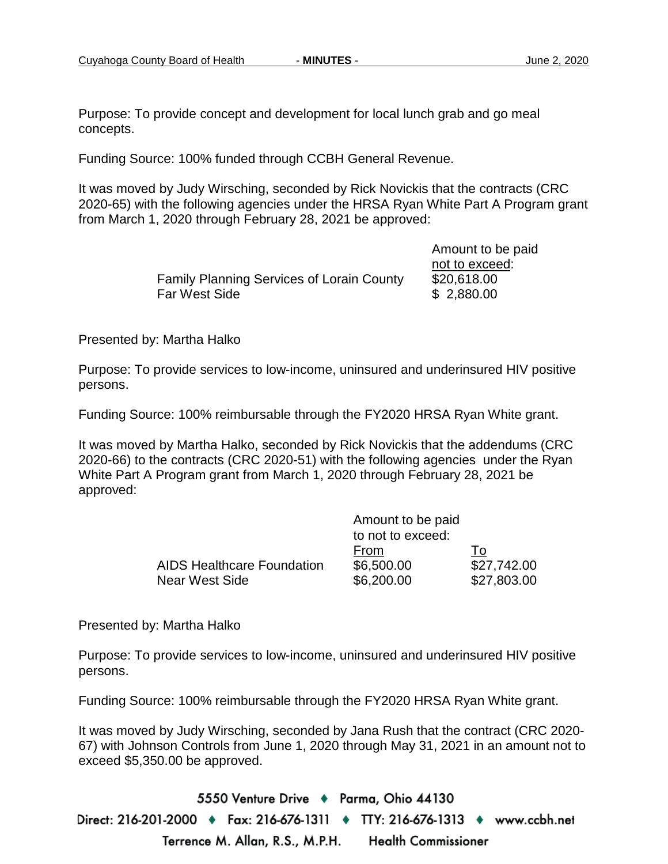Purpose: To provide concept and development for local lunch grab and go meal concepts.

Funding Source: 100% funded through CCBH General Revenue.

It was moved by Judy Wirsching, seconded by Rick Novickis that the contracts (CRC 2020-65) with the following agencies under the HRSA Ryan White Part A Program grant from March 1, 2020 through February 28, 2021 be approved:

|                                                  | not to excee |
|--------------------------------------------------|--------------|
| <b>Family Planning Services of Lorain County</b> | \$20,618.00  |
| Far West Side                                    | \$2,880.00   |

 Amount to be paid not to exceed:  $$2,880.00$ 

Presented by: Martha Halko

Purpose: To provide services to low-income, uninsured and underinsured HIV positive persons.

Funding Source: 100% reimbursable through the FY2020 HRSA Ryan White grant.

It was moved by Martha Halko, seconded by Rick Novickis that the addendums (CRC 2020-66) to the contracts (CRC 2020-51) with the following agencies under the Ryan White Part A Program grant from March 1, 2020 through February 28, 2021 be approved:

|                                   | Amount to be paid<br>to not to exceed: |             |
|-----------------------------------|----------------------------------------|-------------|
|                                   |                                        |             |
|                                   | From                                   | To:         |
| <b>AIDS Healthcare Foundation</b> | \$6,500.00                             | \$27,742.00 |
| Near West Side                    | \$6,200.00                             | \$27,803.00 |

Presented by: Martha Halko

Purpose: To provide services to low-income, uninsured and underinsured HIV positive persons.

Funding Source: 100% reimbursable through the FY2020 HRSA Ryan White grant.

It was moved by Judy Wirsching, seconded by Jana Rush that the contract (CRC 2020- 67) with Johnson Controls from June 1, 2020 through May 31, 2021 in an amount not to exceed \$5,350.00 be approved.

5550 Venture Drive + Parma, Ohio 44130 Direct: 216-201-2000 ♦ Fax: 216-676-1311 ♦ TTY: 216-676-1313 ♦ www.ccbh.net Terrence M. Allan, R.S., M.P.H. **Health Commissioner**